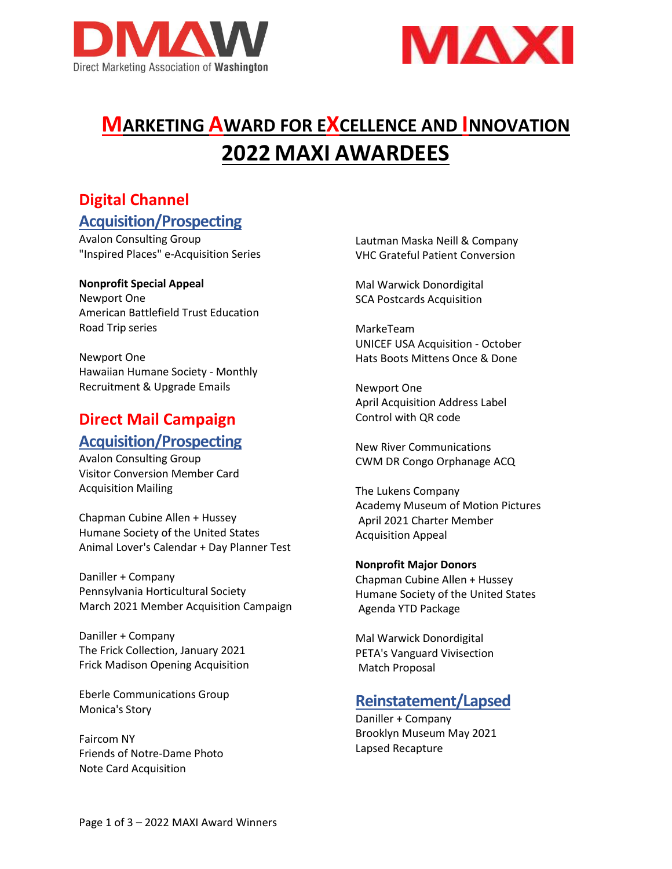



# **MARKETING AWARD FOR EXCELLENCE AND INNOVATION 2022 MAXI AWARDEES**

# **Digital Channel Acquisition/Prospecting**

Avalon Consulting Group "Inspired Places" e-Acquisition Series

#### **Nonprofit Special Appeal**

Newport One American Battlefield Trust Education Road Trip series

Newport One Hawaiian Humane Society - Monthly Recruitment & Upgrade Emails

# **Direct Mail Campaign Acquisition/Prospecting**

Avalon Consulting Group Visitor Conversion Member Card Acquisition Mailing

Chapman Cubine Allen + Hussey Humane Society of the United States Animal Lover's Calendar + Day Planner Test

Daniller + Company Pennsylvania Horticultural Society March 2021 Member Acquisition Campaign

Daniller + Company The Frick Collection, January 2021 Frick Madison Opening Acquisition

Eberle Communications Group Monica's Story

Faircom NY Friends of Notre-Dame Photo Note Card Acquisition

Lautman Maska Neill & Company VHC Grateful Patient Conversion

Mal Warwick Donordigital SCA Postcards Acquisition

MarkeTeam UNICEF USA Acquisition - October Hats Boots Mittens Once & Done

Newport One April Acquisition Address Label Control with QR code

New River Communications CWM DR Congo Orphanage ACQ

The Lukens Company Academy Museum of Motion Pictures April 2021 Charter Member Acquisition Appeal

**Nonprofit Major Donors** Chapman Cubine Allen + Hussey Humane Society of the United States Agenda YTD Package

Mal Warwick Donordigital PETA's Vanguard Vivisection Match Proposal

### **Reinstatement/Lapsed**

Daniller + Company Brooklyn Museum May 2021 Lapsed Recapture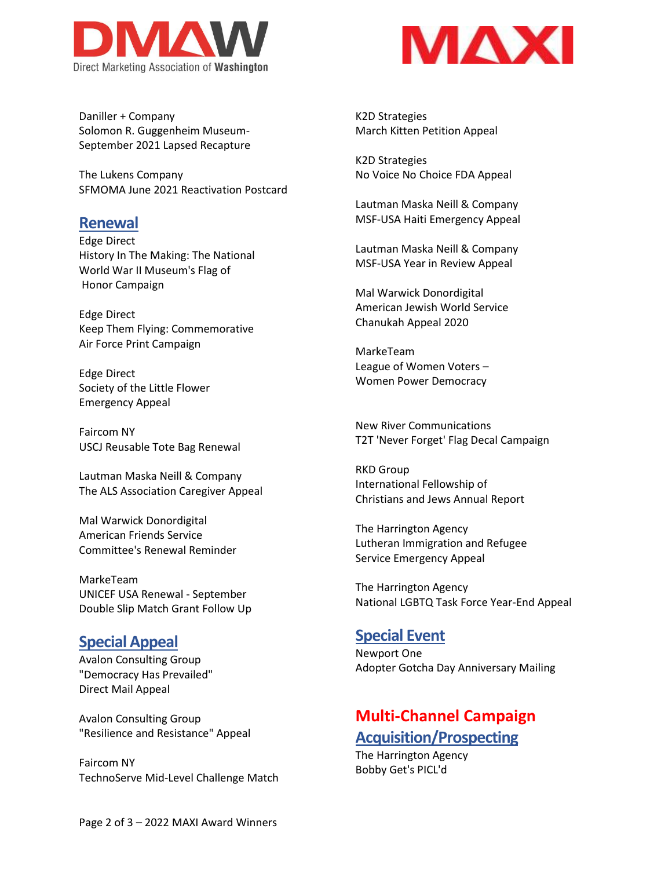

MAX

Daniller + Company Solomon R. Guggenheim Museum-September 2021 Lapsed Recapture

The Lukens Company SFMOMA June 2021 Reactivation Postcard

#### **Renewal**

Edge Direct History In The Making: The National World War II Museum's Flag of Honor Campaign

Edge Direct Keep Them Flying: Commemorative Air Force Print Campaign

Edge Direct Society of the Little Flower Emergency Appeal

Faircom NY USCJ Reusable Tote Bag Renewal

Lautman Maska Neill & Company The ALS Association Caregiver Appeal

Mal Warwick Donordigital American Friends Service Committee's Renewal Reminder

MarkeTeam UNICEF USA Renewal - September Double Slip Match Grant Follow Up

### **Special Appeal**

Avalon Consulting Group "Democracy Has Prevailed" Direct Mail Appeal

Avalon Consulting Group "Resilience and Resistance" Appeal

Faircom NY TechnoServe Mid-Level Challenge Match K2D Strategies March Kitten Petition Appeal

K2D Strategies No Voice No Choice FDA Appeal

Lautman Maska Neill & Company MSF-USA Haiti Emergency Appeal

Lautman Maska Neill & Company MSF-USA Year in Review Appeal

Mal Warwick Donordigital American Jewish World Service Chanukah Appeal 2020

MarkeTeam League of Women Voters – Women Power Democracy

New River Communications T2T 'Never Forget' Flag Decal Campaign

RKD Group International Fellowship of Christians and Jews Annual Report

The Harrington Agency Lutheran Immigration and Refugee Service Emergency Appeal

The Harrington Agency National LGBTQ Task Force Year-End Appeal

### **Special Event**

Newport One Adopter Gotcha Day Anniversary Mailing

# **Multi-Channel Campaign Acquisition/Prospecting**

The Harrington Agency Bobby Get's PICL'd